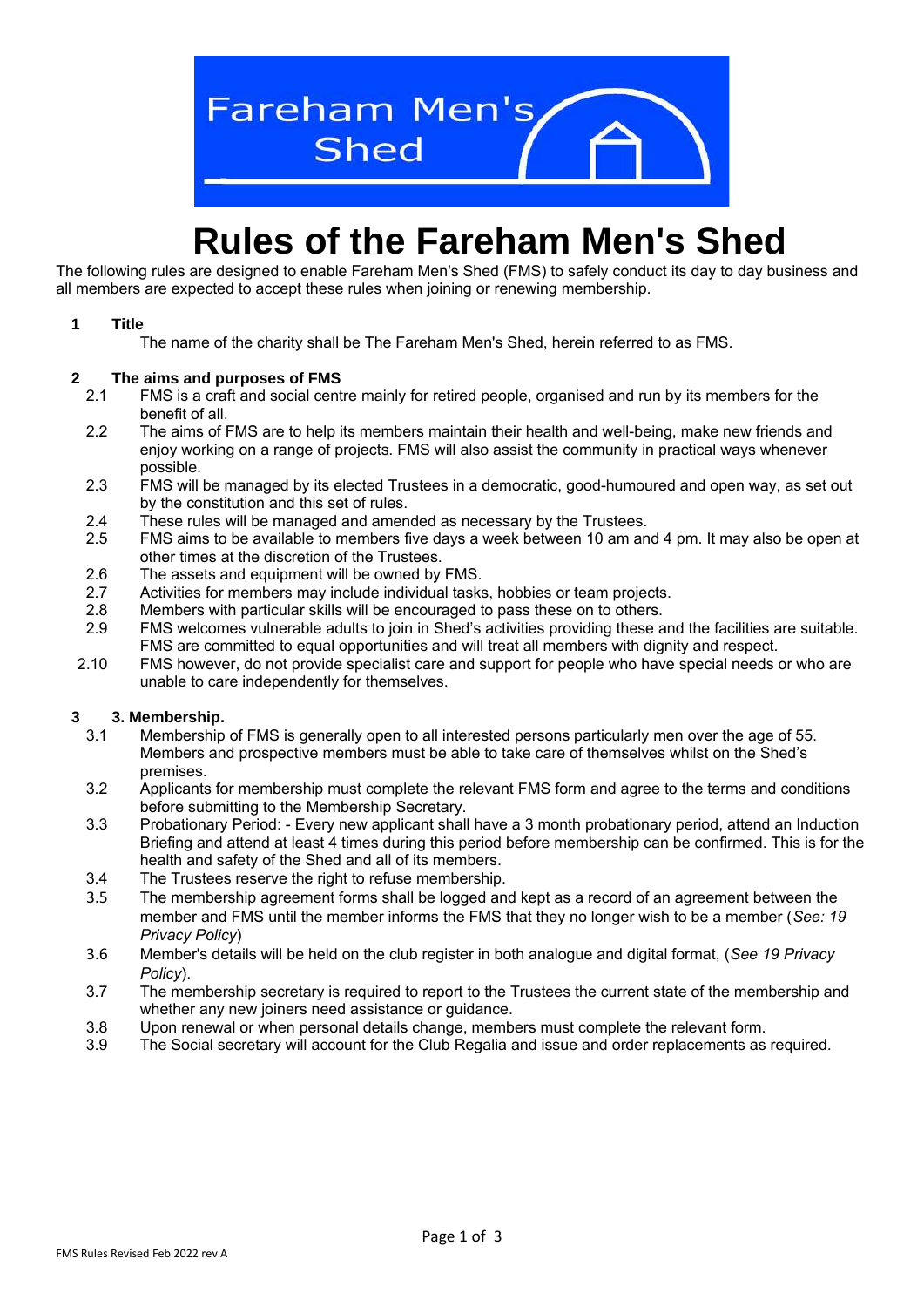

# **Rules of the Fareham Men's Shed**

The following rules are designed to enable Fareham Men's Shed (FMS) to safely conduct its day to day business and all members are expected to accept these rules when joining or renewing membership.

#### **1 Title**

The name of the charity shall be The Fareham Men's Shed, herein referred to as FMS.

#### **2 The aims and purposes of FMS**

- 2.1 FMS is a craft and social centre mainly for retired people, organised and run by its members for the benefit of all.
- 2.2 The aims of FMS are to help its members maintain their health and well-being, make new friends and enjoy working on a range of projects. FMS will also assist the community in practical ways whenever possible.
- 2.3 FMS will be managed by its elected Trustees in a democratic, good-humoured and open way, as set out by the constitution and this set of rules.
- 2.4 These rules will be managed and amended as necessary by the Trustees.<br>2.5 FMS aims to be available to members five davs a week between 10 am an
- 2.5 FMS aims to be available to members five days a week between 10 am and 4 pm. It may also be open at other times at the discretion of the Trustees.
- 2.6 The assets and equipment will be owned by FMS.
- 2.7 Activities for members may include individual tasks, hobbies or team projects.
- 2.8 Members with particular skills will be encouraged to pass these on to others.
- 2.9 FMS welcomes vulnerable adults to join in Shed's activities providing these and the facilities are suitable. FMS are committed to equal opportunities and will treat all members with dignity and respect.
- 2.10 FMS however, do not provide specialist care and support for people who have special needs or who are unable to care independently for themselves.

# **3 3. Membership.**

- 3.1 Membership of FMS is generally open to all interested persons particularly men over the age of 55. Members and prospective members must be able to take care of themselves whilst on the Shed's premises.
- 3.2 Applicants for membership must complete the relevant FMS form and agree to the terms and conditions before submitting to the Membership Secretary.
- 3.3 Probationary Period: Every new applicant shall have a 3 month probationary period, attend an Induction Briefing and attend at least 4 times during this period before membership can be confirmed. This is for the health and safety of the Shed and all of its members.
- 3.4 The Trustees reserve the right to refuse membership.
- 3.5 The membership agreement forms shall be logged and kept as a record of an agreement between the member and FMS until the member informs the FMS that they no longer wish to be a member (*See: 19 Privacy Policy*)
- 3.6 Member's details will be held on the club register in both analogue and digital format, (*See 19 Privacy Policy*).
- 3.7 The membership secretary is required to report to the Trustees the current state of the membership and whether any new joiners need assistance or guidance.
- 3.8 Upon renewal or when personal details change, members must complete the relevant form.
- 3.9 The Social secretary will account for the Club Regalia and issue and order replacements as required.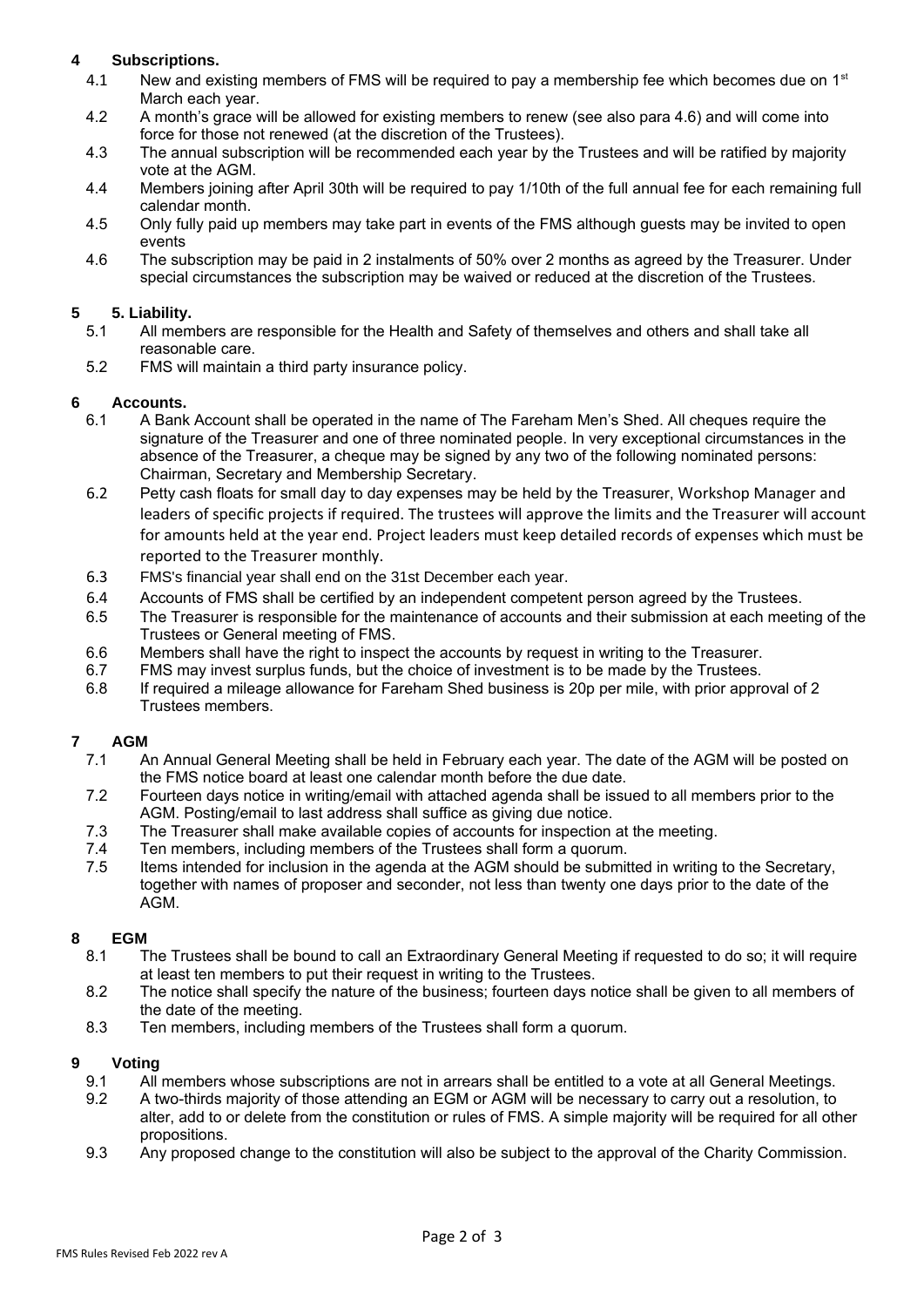# **4 Subscriptions.**

- 4.1 New and existing members of FMS will be required to pay a membership fee which becomes due on  $1<sup>st</sup>$ March each year.
- 4.2 A month's grace will be allowed for existing members to renew (see also para 4.6) and will come into force for those not renewed (at the discretion of the Trustees).
- 4.3 The annual subscription will be recommended each year by the Trustees and will be ratified by majority vote at the AGM.
- 4.4 Members joining after April 30th will be required to pay 1/10th of the full annual fee for each remaining full calendar month.
- 4.5 Only fully paid up members may take part in events of the FMS although guests may be invited to open events
- 4.6 The subscription may be paid in 2 instalments of 50% over 2 months as agreed by the Treasurer. Under special circumstances the subscription may be waived or reduced at the discretion of the Trustees.

# **5 5. Liability.**

- 5.1 All members are responsible for the Health and Safety of themselves and others and shall take all reasonable care.
- 5.2 FMS will maintain a third party insurance policy.

# **6 Accounts.**

- 6.1 A Bank Account shall be operated in the name of The Fareham Men's Shed. All cheques require the signature of the Treasurer and one of three nominated people. In very exceptional circumstances in the absence of the Treasurer, a cheque may be signed by any two of the following nominated persons: Chairman, Secretary and Membership Secretary.
- 6.2 Petty cash floats for small day to day expenses may be held by the Treasurer, Workshop Manager and leaders of specific projects if required. The trustees will approve the limits and the Treasurer will account for amounts held at the year end. Project leaders must keep detailed records of expenses which must be reported to the Treasurer monthly.
- 6.3 FMS's financial year shall end on the 31st December each year.
- 6.4 Accounts of FMS shall be certified by an independent competent person agreed by the Trustees.
- 6.5 The Treasurer is responsible for the maintenance of accounts and their submission at each meeting of the Trustees or General meeting of FMS.
- 6.6 Members shall have the right to inspect the accounts by request in writing to the Treasurer.
- 6.7 FMS may invest surplus funds, but the choice of investment is to be made by the Trustees.
- 6.8 If required a mileage allowance for Fareham Shed business is 20p per mile, with prior approval of 2 Trustees members.

# **7 AGM**

- 7.1 An Annual General Meeting shall be held in February each year. The date of the AGM will be posted on the FMS notice board at least one calendar month before the due date.
- 7.2 Fourteen days notice in writing/email with attached agenda shall be issued to all members prior to the AGM. Posting/email to last address shall suffice as giving due notice.
- 7.3 The Treasurer shall make available copies of accounts for inspection at the meeting.
- 7.4 Ten members, including members of the Trustees shall form a quorum.
- 7.5 Items intended for inclusion in the agenda at the AGM should be submitted in writing to the Secretary, together with names of proposer and seconder, not less than twenty one days prior to the date of the AGM.

# **8 EGM**

- 8.1 The Trustees shall be bound to call an Extraordinary General Meeting if requested to do so; it will require at least ten members to put their request in writing to the Trustees.
- 8.2 The notice shall specify the nature of the business; fourteen days notice shall be given to all members of the date of the meeting.
- 8.3 Ten members, including members of the Trustees shall form a quorum.

# **9 Voting**

- 9.1 All members whose subscriptions are not in arrears shall be entitled to a vote at all General Meetings.
- 9.2 A two-thirds majority of those attending an EGM or AGM will be necessary to carry out a resolution, to alter, add to or delete from the constitution or rules of FMS. A simple majority will be required for all other propositions.
- 9.3 Any proposed change to the constitution will also be subject to the approval of the Charity Commission.